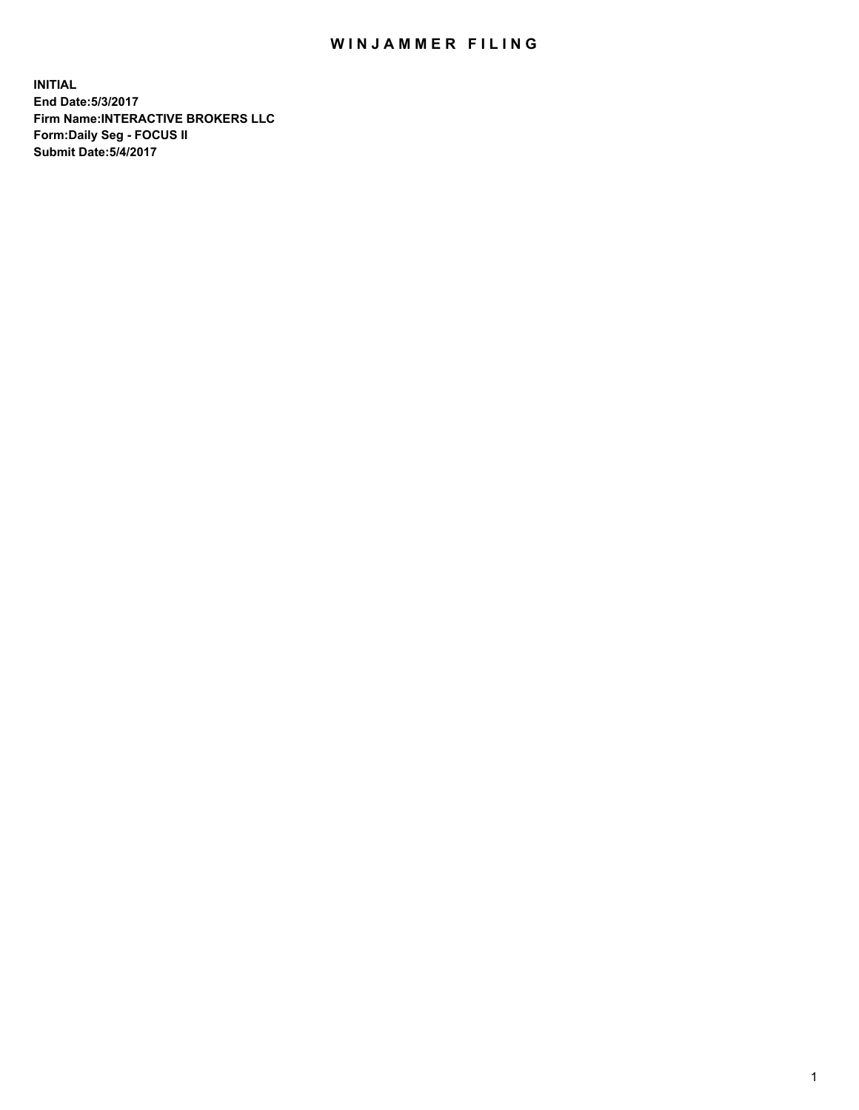## WIN JAMMER FILING

**INITIAL End Date:5/3/2017 Firm Name:INTERACTIVE BROKERS LLC Form:Daily Seg - FOCUS II Submit Date:5/4/2017**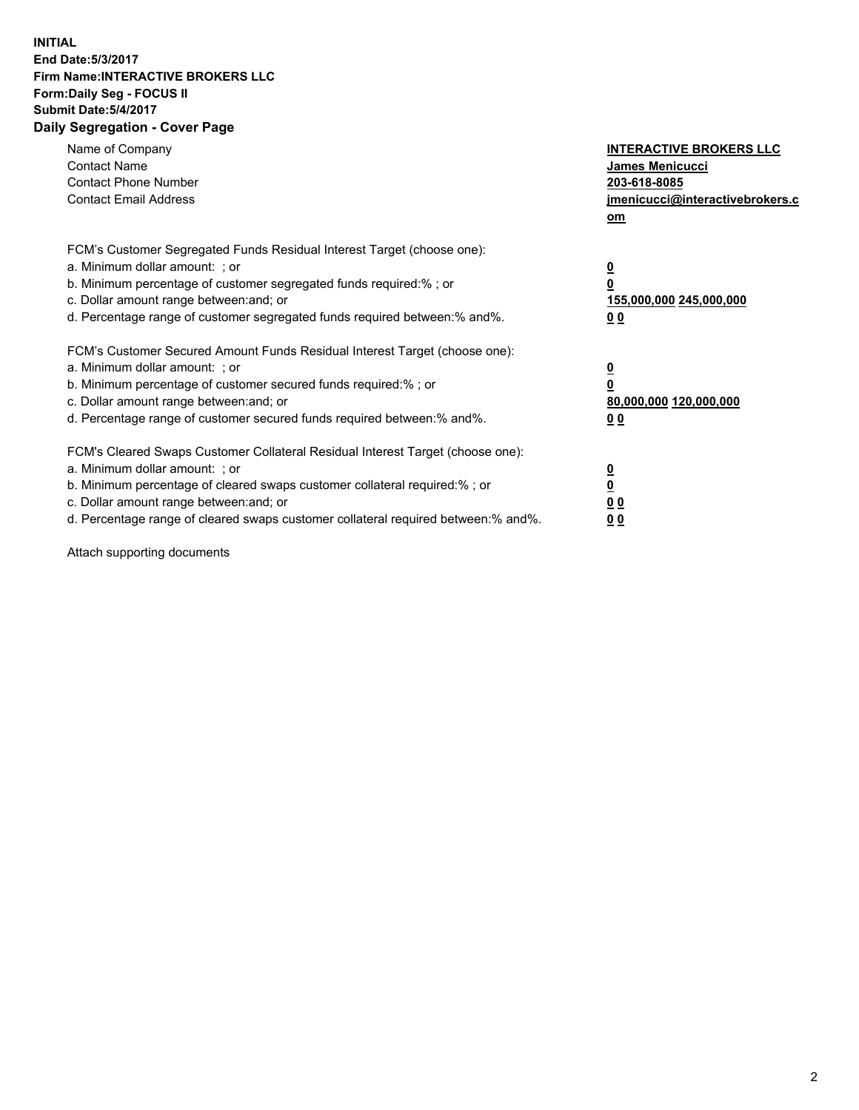## **INITIAL End Date:5/3/2017 Firm Name:INTERACTIVE BROKERS LLC Form:Daily Seg - FOCUS II Submit Date:5/4/2017 Daily Segregation - Cover Page**

| Name of Company<br><b>Contact Name</b><br><b>Contact Phone Number</b><br><b>Contact Email Address</b>                                                                                                                                                                                                                          | <b>INTERACTIVE BROKERS LLC</b><br>James Menicucci<br>203-618-8085<br>jmenicucci@interactivebrokers.c<br>om |
|--------------------------------------------------------------------------------------------------------------------------------------------------------------------------------------------------------------------------------------------------------------------------------------------------------------------------------|------------------------------------------------------------------------------------------------------------|
| FCM's Customer Segregated Funds Residual Interest Target (choose one):<br>a. Minimum dollar amount: ; or<br>b. Minimum percentage of customer segregated funds required:% ; or<br>c. Dollar amount range between: and; or<br>d. Percentage range of customer segregated funds required between:% and%.                         | $\overline{\mathbf{0}}$<br>0<br>155,000,000 245,000,000<br>0 <sub>0</sub>                                  |
| FCM's Customer Secured Amount Funds Residual Interest Target (choose one):<br>a. Minimum dollar amount: ; or<br>b. Minimum percentage of customer secured funds required:%; or<br>c. Dollar amount range between: and; or<br>d. Percentage range of customer secured funds required between: % and %.                          | $\overline{\mathbf{0}}$<br>0<br>80,000,000 120,000,000<br>0 <sub>0</sub>                                   |
| FCM's Cleared Swaps Customer Collateral Residual Interest Target (choose one):<br>a. Minimum dollar amount: ; or<br>b. Minimum percentage of cleared swaps customer collateral required:% ; or<br>c. Dollar amount range between: and; or<br>d. Percentage range of cleared swaps customer collateral required between:% and%. | $\overline{\mathbf{0}}$<br>$\overline{\mathbf{0}}$<br>0 <sub>0</sub><br>0 <sub>0</sub>                     |

Attach supporting documents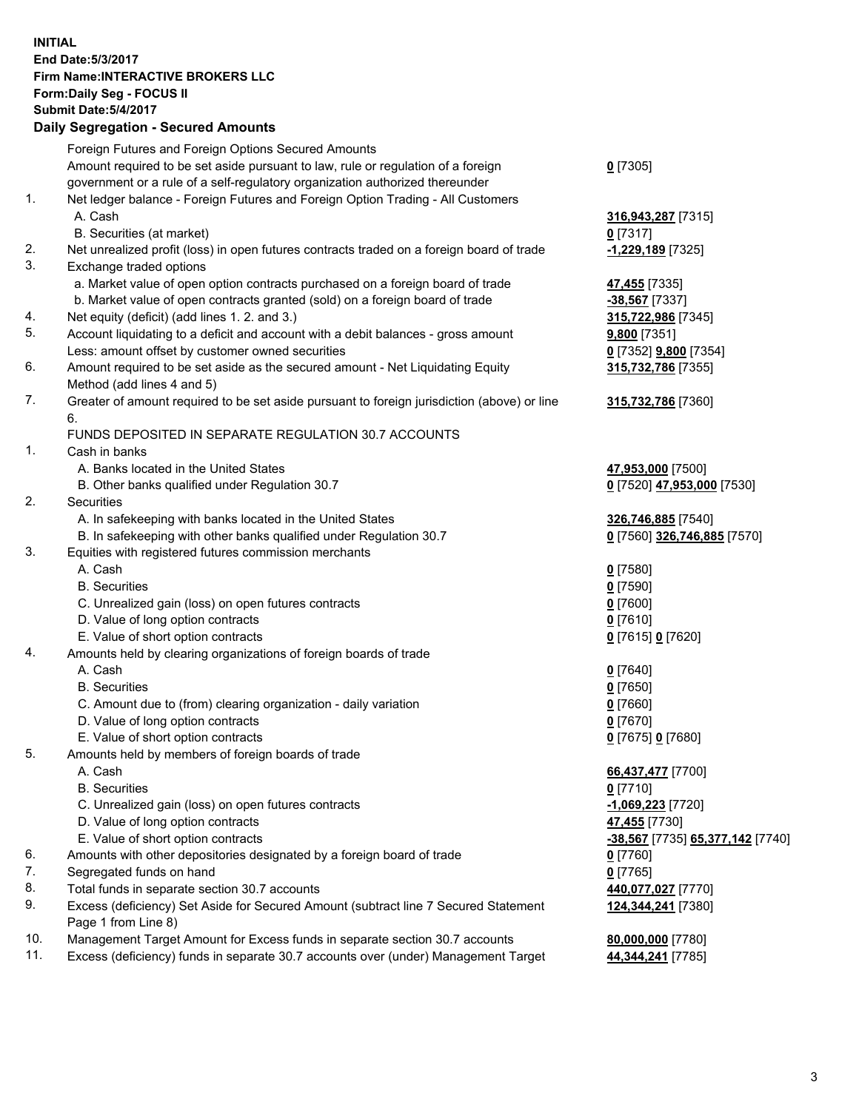## **INITIAL End Date:5/3/2017 Firm Name:INTERACTIVE BROKERS LLC Form:Daily Seg - FOCUS II Submit Date:5/4/2017 Daily Segregation - Secured Amounts**

|     | Daily Ocglegation - Occuled Amounts                                                         |                                  |
|-----|---------------------------------------------------------------------------------------------|----------------------------------|
|     | Foreign Futures and Foreign Options Secured Amounts                                         |                                  |
|     | Amount required to be set aside pursuant to law, rule or regulation of a foreign            | $0$ [7305]                       |
|     | government or a rule of a self-regulatory organization authorized thereunder                |                                  |
| 1.  | Net ledger balance - Foreign Futures and Foreign Option Trading - All Customers             |                                  |
|     | A. Cash                                                                                     | 316,943,287 [7315]               |
|     | B. Securities (at market)                                                                   | $0$ [7317]                       |
| 2.  | Net unrealized profit (loss) in open futures contracts traded on a foreign board of trade   | -1,229,189 [7325]                |
| 3.  | Exchange traded options                                                                     |                                  |
|     | a. Market value of open option contracts purchased on a foreign board of trade              | 47,455 [7335]                    |
|     | b. Market value of open contracts granted (sold) on a foreign board of trade                | -38,567 [7337]                   |
| 4.  | Net equity (deficit) (add lines 1.2. and 3.)                                                | 315,722,986 [7345]               |
| 5.  | Account liquidating to a deficit and account with a debit balances - gross amount           | <b>9,800</b> [7351]              |
|     | Less: amount offset by customer owned securities                                            | 0 [7352] 9,800 [7354]            |
| 6.  | Amount required to be set aside as the secured amount - Net Liquidating Equity              | 315,732,786 [7355]               |
|     | Method (add lines 4 and 5)                                                                  |                                  |
| 7.  | Greater of amount required to be set aside pursuant to foreign jurisdiction (above) or line | 315,732,786 [7360]               |
|     | 6.                                                                                          |                                  |
|     | FUNDS DEPOSITED IN SEPARATE REGULATION 30.7 ACCOUNTS                                        |                                  |
| 1.  | Cash in banks                                                                               |                                  |
|     | A. Banks located in the United States                                                       | 47,953,000 [7500]                |
|     | B. Other banks qualified under Regulation 30.7                                              | 0 [7520] 47,953,000 [7530]       |
| 2.  | Securities                                                                                  |                                  |
|     | A. In safekeeping with banks located in the United States                                   | 326,746,885 [7540]               |
|     | B. In safekeeping with other banks qualified under Regulation 30.7                          | 0 [7560] 326,746,885 [7570]      |
| 3.  | Equities with registered futures commission merchants                                       |                                  |
|     | A. Cash                                                                                     | $0$ [7580]                       |
|     | <b>B.</b> Securities                                                                        | $0$ [7590]                       |
|     | C. Unrealized gain (loss) on open futures contracts                                         | $0$ [7600]                       |
|     | D. Value of long option contracts                                                           | $0$ [7610]                       |
|     | E. Value of short option contracts                                                          | 0 [7615] 0 [7620]                |
| 4.  | Amounts held by clearing organizations of foreign boards of trade                           |                                  |
|     | A. Cash                                                                                     | $0$ [7640]                       |
|     | <b>B.</b> Securities                                                                        | $0$ [7650]                       |
|     | C. Amount due to (from) clearing organization - daily variation                             | $0$ [7660]                       |
|     | D. Value of long option contracts                                                           | $0$ [7670]                       |
|     | E. Value of short option contracts                                                          | 0 [7675] 0 [7680]                |
| 5.  | Amounts held by members of foreign boards of trade                                          |                                  |
|     | A. Cash                                                                                     | 66,437,477 [7700]                |
|     | <b>B.</b> Securities                                                                        | $0$ [7710]                       |
|     | C. Unrealized gain (loss) on open futures contracts                                         | $-1,069,223$ [7720]              |
|     | D. Value of long option contracts                                                           | 47,455 [7730]                    |
|     | E. Value of short option contracts                                                          | -38,567 [7735] 65,377,142 [7740] |
| 6.  | Amounts with other depositories designated by a foreign board of trade                      | 0 [7760]                         |
| 7.  | Segregated funds on hand                                                                    | $0$ [7765]                       |
| 8.  | Total funds in separate section 30.7 accounts                                               | 440,077,027 [7770]               |
| 9.  | Excess (deficiency) Set Aside for Secured Amount (subtract line 7 Secured Statement         | 124,344,241 [7380]               |
|     | Page 1 from Line 8)                                                                         |                                  |
| 10. | Management Target Amount for Excess funds in separate section 30.7 accounts                 | 80,000,000 [7780]                |
| 11. | Excess (deficiency) funds in separate 30.7 accounts over (under) Management Target          | 44,344,241 [7785]                |
|     |                                                                                             |                                  |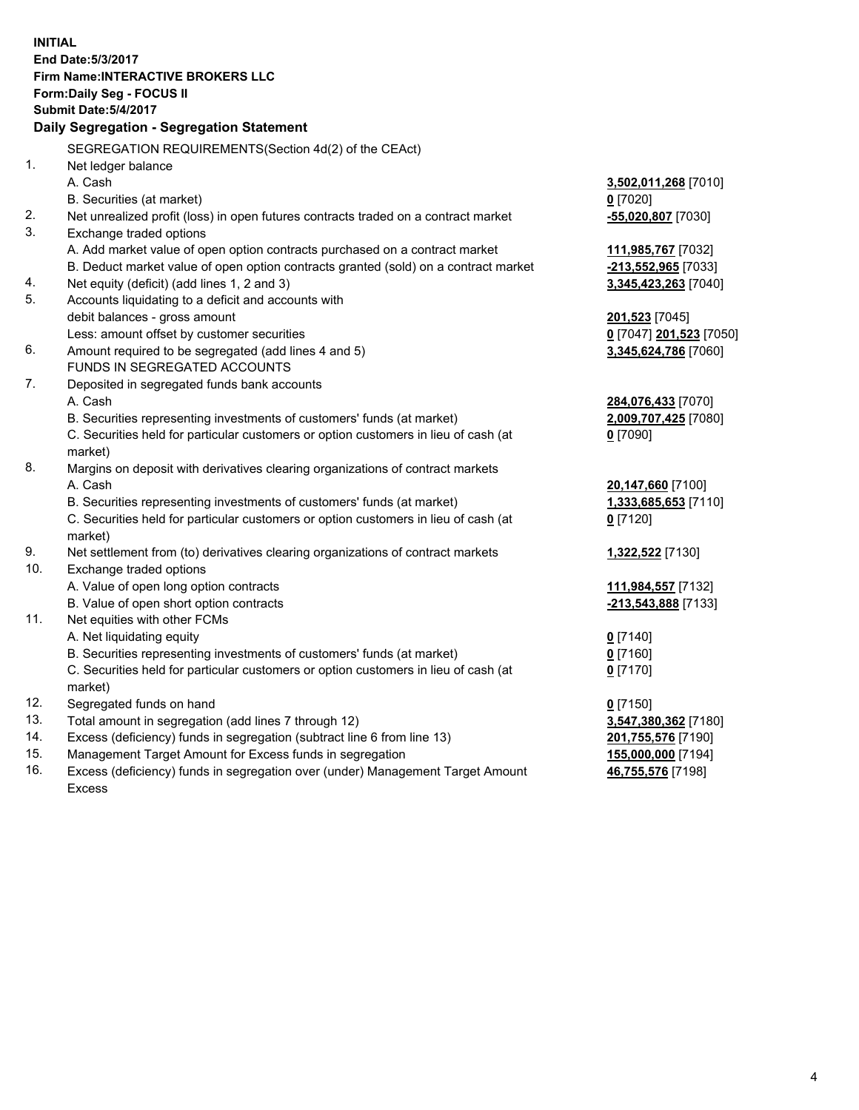**INITIAL End Date:5/3/2017 Firm Name:INTERACTIVE BROKERS LLC Form:Daily Seg - FOCUS II Submit Date:5/4/2017 Daily Segregation - Segregation Statement** SEGREGATION REQUIREMENTS(Section 4d(2) of the CEAct) 1. Net ledger balance A. Cash **3,502,011,268** [7010] B. Securities (at market) **0** [7020] 2. Net unrealized profit (loss) in open futures contracts traded on a contract market **-55,020,807** [7030] 3. Exchange traded options A. Add market value of open option contracts purchased on a contract market **111,985,767** [7032] B. Deduct market value of open option contracts granted (sold) on a contract market **-213,552,965** [7033] 4. Net equity (deficit) (add lines 1, 2 and 3) **3,345,423,263** [7040] 5. Accounts liquidating to a deficit and accounts with debit balances - gross amount **201,523** [7045] Less: amount offset by customer securities **0** [7047] **201,523** [7050] 6. Amount required to be segregated (add lines 4 and 5) **3,345,624,786** [7060] FUNDS IN SEGREGATED ACCOUNTS 7. Deposited in segregated funds bank accounts A. Cash **284,076,433** [7070] B. Securities representing investments of customers' funds (at market) **2,009,707,425** [7080] C. Securities held for particular customers or option customers in lieu of cash (at market) **0** [7090] 8. Margins on deposit with derivatives clearing organizations of contract markets A. Cash **20,147,660** [7100] B. Securities representing investments of customers' funds (at market) **1,333,685,653** [7110] C. Securities held for particular customers or option customers in lieu of cash (at market) **0** [7120] 9. Net settlement from (to) derivatives clearing organizations of contract markets **1,322,522** [7130] 10. Exchange traded options A. Value of open long option contracts **111,984,557** [7132] B. Value of open short option contracts **-213,543,888** [7133] 11. Net equities with other FCMs A. Net liquidating equity **0** [7140] B. Securities representing investments of customers' funds (at market) **0** [7160] C. Securities held for particular customers or option customers in lieu of cash (at market) **0** [7170] 12. Segregated funds on hand **0** [7150] 13. Total amount in segregation (add lines 7 through 12) **3,547,380,362** [7180] 14. Excess (deficiency) funds in segregation (subtract line 6 from line 13) **201,755,576** [7190] 15. Management Target Amount for Excess funds in segregation **155,000,000** [7194] 16. Excess (deficiency) funds in segregation over (under) Management Target Amount **46,755,576** [7198]

Excess